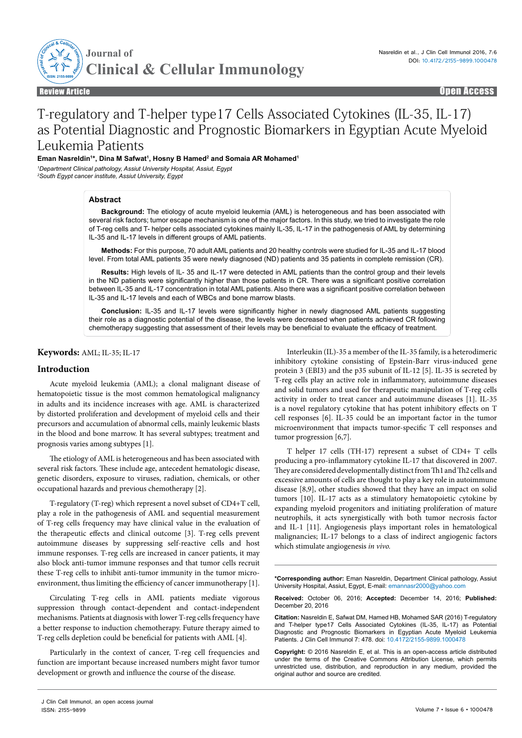

Review Article Open Access

# T-regulatory and T-helper type17 Cells Associated Cytokines (IL-35, IL-17) as Potential Diagnostic and Prognostic Biomarkers in Egyptian Acute Myeloid Leukemia Patients

**Eman Nasreldin1 \*, Dina M Safwat1 , Hosny B Hamed2 and Somaia AR Mohamed1**

*1 Department Clinical pathology, Assiut University Hospital, Assiut, Egypt 2 South Egypt cancer institute, Assiut University, Egypt*

#### **Abstract**

**Background:** The etiology of acute myeloid leukemia (AML) is heterogeneous and has been associated with several risk factors; tumor escape mechanism is one of the major factors. In this study, we tried to investigate the role of T-reg cells and T- helper cells associated cytokines mainly IL-35, IL-17 in the pathogenesis of AML by determining IL-35 and IL-17 levels in different groups of AML patients.

**Methods:** For this purpose, 70 adult AML patients and 20 healthy controls were studied for IL-35 and IL-17 blood level. From total AML patients 35 were newly diagnosed (ND) patients and 35 patients in complete remission (CR).

**Results:** High levels of IL- 35 and IL-17 were detected in AML patients than the control group and their levels in the ND patients were significantly higher than those patients in CR. There was a significant positive correlation between IL-35 and IL-17 concentration in total AML patients. Also there was a significant positive correlation between IL-35 and IL-17 levels and each of WBCs and bone marrow blasts.

**Conclusion:** IL-35 and IL-17 levels were significantly higher in newly diagnosed AML patients suggesting their role as a diagnostic potential of the disease, the levels were decreased when patients achieved CR following chemotherapy suggesting that assessment of their levels may be beneficial to evaluate the efficacy of treatment.

# **Keywords:** AML; IL-35; IL-17

## **Introduction**

Acute myeloid leukemia (AML); a clonal malignant disease of hematopoietic tissue is the most common hematological malignancy in adults and its incidence increases with age. AML is characterized by distorted proliferation and development of myeloid cells and their precursors and accumulation of abnormal cells, mainly leukemic blasts in the blood and bone marrow. It has several subtypes; treatment and prognosis varies among subtypes [1].

The etiology of AML is heterogeneous and has been associated with several risk factors. These include age, antecedent hematologic disease, genetic disorders, exposure to viruses, radiation, chemicals, or other occupational hazards and previous chemotherapy [2].

T-regulatory (T-reg) which represent a novel subset of CD4+T cell, play a role in the pathogenesis of AML and sequential measurement of T-reg cells frequency may have clinical value in the evaluation of the therapeutic effects and clinical outcome [3]. T-reg cells prevent autoimmune diseases by suppressing self-reactive cells and host immune responses. T-reg cells are increased in cancer patients, it may also block anti-tumor immune responses and that tumor cells recruit these T-reg cells to inhibit anti-tumor immunity in the tumor microenvironment, thus limiting the efficiency of cancer immunotherapy [1].

Circulating T-reg cells in AML patients mediate vigorous suppression through contact-dependent and contact-independent mechanisms. Patients at diagnosis with lower T-reg cells frequency have a better response to induction chemotherapy. Future therapy aimed to T-reg cells depletion could be beneficial for patients with AML [4].

Particularly in the context of cancer, T-reg cell frequencies and function are important because increased numbers might favor tumor development or growth and influence the course of the disease.

J Clin Cell Immunol, an open access journal ISSN: 2155-9899

Interleukin (IL)-35 a member of the IL-35 family, is a heterodimeric inhibitory cytokine consisting of Epstein-Barr virus-induced gene protein 3 (EBI3) and the p35 subunit of IL-12 [5]. IL-35 is secreted by T-reg cells play an active role in inflammatory, autoimmune diseases and solid tumors and used for therapeutic manipulation of T-reg cells activity in order to treat cancer and autoimmune diseases [1]. IL-35 is a novel regulatory cytokine that has potent inhibitory effects on T cell responses [6]. IL-35 could be an important factor in the tumor microenvironment that impacts tumor-specific T cell responses and tumor progression [6,7].

T helper 17 cells (TH-17) represent a subset of CD4+ T cells producing a pro-inflammatory cytokine IL-17 that discovered in 2007. They are considered developmentally distinct from Th1 and Th2 cells and excessive amounts of cells are thought to play a key role in autoimmune disease [8,9], other studies showed that they have an impact on solid tumors [10]. IL-17 acts as a stimulatory hematopoietic cytokine by expanding myeloid progenitors and initiating proliferation of mature neutrophils, it acts synergistically with both tumor necrosis factor and IL-1 [11]. Angiogenesis plays important roles in hematological malignancies; IL-17 belongs to a class of indirect angiogenic factors which stimulate angiogenesis *in vivo.*

**\*Corresponding author:** Eman Nasreldin, Department Clinical pathology, Assiut University Hospital, Assiut, Egypt, E-mail: emannasr2000@yahoo.com

**Received:** October 06, 2016; **Accepted:** December 14, 2016; **Published:** December 20, 2016

**Citation:** Nasreldin E, Safwat DM, Hamed HB, Mohamed SAR (2016) T-regulatory and T-helper type17 Cells Associated Cytokines (IL-35, IL-17) as Potential Diagnostic and Prognostic Biomarkers in Egyptian Acute Myeloid Leukemia Patients. J Clin Cell Immunol 7: 478. doi: 10.4172/2155-9899.1000478

**Copyright:** © 2016 Nasreldin E, et al. This is an open-access article distributed under the terms of the Creative Commons Attribution License, which permits unrestricted use, distribution, and reproduction in any medium, provided the original author and source are credited.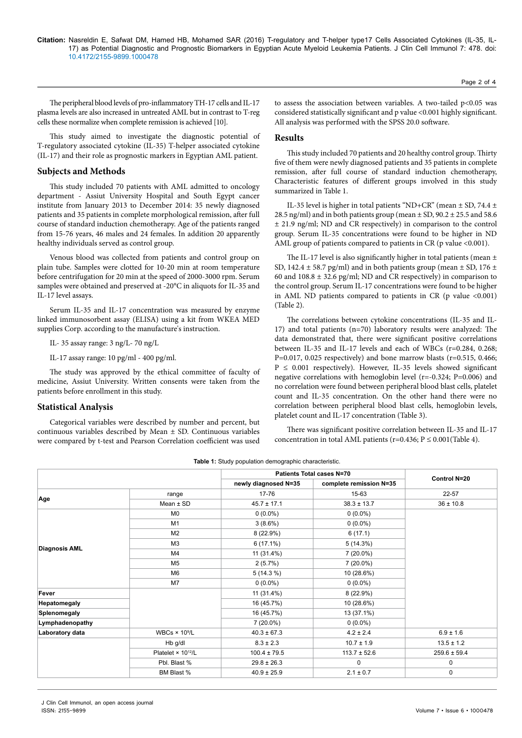#### **Citation:** Nasreldin E, Safwat DM, Hamed HB, Mohamed SAR (2016) T-regulatory and T-helper type17 Cells Associated Cytokines (IL-35, IL-17) as Potential Diagnostic and Prognostic Biomarkers in Egyptian Acute Myeloid Leukemia Patients. J Clin Cell Immunol 7: 478. doi: 10.4172/2155-9899.1000478

The peripheral blood levels of pro-inflammatory TH-17 cells and IL-17 plasma levels are also increased in untreated AML but in contrast to T-reg cells these normalize when complete remission is achieved [10].

This study aimed to investigate the diagnostic potential of T-regulatory associated cytokine (IL-35) T-helper associated cytokine (IL-17) and their role as prognostic markers in Egyptian AML patient.

## **Subjects and Methods**

This study included 70 patients with AML admitted to oncology department - Assiut University Hospital and South Egypt cancer institute from January 2013 to December 2014: 35 newly diagnosed patients and 35 patients in complete morphological remission, after full course of standard induction chemotherapy. Age of the patients ranged from 15-76 years, 46 males and 24 females. In addition 20 apparently healthy individuals served as control group.

Venous blood was collected from patients and control group on plain tube. Samples were clotted for 10-20 min at room temperature before centrifugation for 20 min at the speed of 2000-3000 rpm. Serum samples were obtained and preserved at -20°C in aliquots for IL-35 and IL-17 level assays.

Serum IL-35 and IL-17 concentration was measured by enzyme linked immunosorbent assay (ELISA) using a kit from WKEA MED supplies Corp. according to the manufacture's instruction.

IL- 35 assay range: 3 ng/L- 70 ng/L

IL-17 assay range: 10 pg/ml - 400 pg/ml.

The study was approved by the ethical committee of faculty of medicine, Assiut University. Written consents were taken from the patients before enrollment in this study.

## **Statistical Analysis**

Categorical variables were described by number and percent, but continuous variables described by Mean ± SD. Continuous variables were compared by t-test and Pearson Correlation coefficient was used

to assess the association between variables. A two-tailed p<0.05 was considered statistically significant and p value <0.001 highly significant. All analysis was performed with the SPSS 20.0 software.

# **Results**

This study included 70 patients and 20 healthy control group. Thirty five of them were newly diagnosed patients and 35 patients in complete remission, after full course of standard induction chemotherapy, Characteristic features of different groups involved in this study summarized in Table 1.

IL-35 level is higher in total patients "ND+CR" (mean ± SD, 74.4 ± 28.5 ng/ml) and in both patients group (mean ± SD, 90.2 ± 25.5 and 58.6 ± 21.9 ng/ml; ND and CR respectively) in comparison to the control group. Serum IL-35 concentrations were found to be higher in ND AML group of patients compared to patients in CR (p value <0.001).

The IL-17 level is also significantly higher in total patients (mean  $\pm$ SD, 142.4  $\pm$  58.7 pg/ml) and in both patients group (mean  $\pm$  SD, 176  $\pm$ 60 and  $108.8 \pm 32.6$  pg/ml; ND and CR respectively) in comparison to the control group. Serum IL-17 concentrations were found to be higher in AML ND patients compared to patients in CR ( $p$  value <0.001) (Table 2).

The correlations between cytokine concentrations (IL-35 and IL-17) and total patients (n=70) laboratory results were analyzed: The data demonstrated that, there were significant positive correlations between IL-35 and IL-17 levels and each of WBCs (r=0.284, 0.268; P=0.017, 0.025 respectively) and bone marrow blasts (r=0.515, 0.466;  $P \le 0.001$  respectively). However, IL-35 levels showed significant negative correlations with hemoglobin level (r=-0.324; P=0.006) and no correlation were found between peripheral blood blast cells, platelet count and IL-35 concentration. On the other hand there were no correlation between peripheral blood blast cells, hemoglobin levels, platelet count and IL-17 concentration (Table 3).

There was significant positive correlation between IL-35 and IL-17 concentration in total AML patients (r=0.436;  $P \le 0.001$  (Table 4).

|                      |                                  | Patients Total cases N=70 | Control N=20            |                  |  |
|----------------------|----------------------------------|---------------------------|-------------------------|------------------|--|
|                      |                                  | newly diagnosed N=35      | complete remission N=35 |                  |  |
|                      | range                            | 17-76                     | 15-63                   | $22 - 57$        |  |
| Age                  | Mean $±$ SD                      | $45.7 \pm 17.1$           | $38.3 \pm 13.7$         | $36 \pm 10.8$    |  |
|                      | M <sub>0</sub>                   | $0(0.0\%)$                | $0(0.0\%)$              |                  |  |
|                      | M1                               | $3(8.6\%)$                | $0(0.0\%)$              |                  |  |
|                      | M <sub>2</sub>                   | 8(22.9%)                  | 6(17.1)                 |                  |  |
|                      | M <sub>3</sub>                   | $6(17.1\%)$               | 5(14.3%)                |                  |  |
| <b>Diagnosis AML</b> | M4                               | 11 (31.4%)                | $7(20.0\%)$             |                  |  |
|                      | M <sub>5</sub>                   | 2(5.7%)                   | $7(20.0\%)$             |                  |  |
|                      | M6                               | $5(14.3\%)$               | 10 (28.6%)              |                  |  |
|                      | M7                               | $0(0.0\%)$                | $0(0.0\%)$              |                  |  |
| Fever                |                                  | 11 (31.4%)                | 8(22.9%)                |                  |  |
| Hepatomegaly         |                                  | 16 (45.7%)                | 10 (28.6%)              |                  |  |
| Splenomegaly         |                                  | 16 (45.7%)                | 13 (37.1%)              |                  |  |
| Lymphadenopathy      |                                  | $7(20.0\%)$               | $0(0.0\%)$              |                  |  |
| Laboratory data      | WBCs $\times$ 10 <sup>9</sup> /L | $40.3 \pm 67.3$           | $4.2 \pm 2.4$           | $6.9 \pm 1.6$    |  |
|                      | Hb g/dl                          | $8.3 \pm 2.3$             | $10.7 \pm 1.9$          | $13.5 \pm 1.2$   |  |
|                      | Platelet × 10 <sup>12</sup> /L   | $100.4 \pm 79.5$          | $113.7 \pm 52.6$        | $259.6 \pm 59.4$ |  |
|                      | Pbl. Blast %                     | $29.8 \pm 26.3$           | $\mathbf 0$             | 0                |  |
|                      | BM Blast %                       | $40.9 \pm 25.9$           | $2.1 \pm 0.7$           | 0                |  |

**Table 1:** Study population demographic characteristic.

J Clin Cell Immunol, an open access journal ISSN: 2155-9899

Page 2 of 4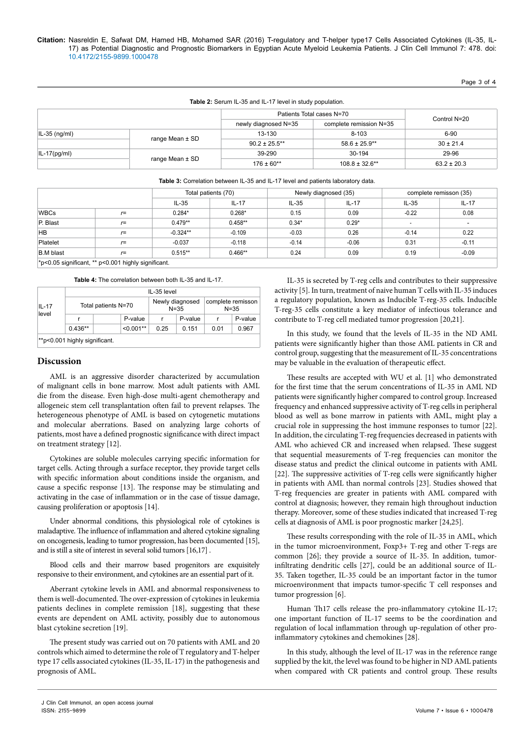Page 3 of 4

| <b>Table 2:</b> Serum IL-35 and IL-17 level in study population. |                     |                           |                         |                 |  |  |  |
|------------------------------------------------------------------|---------------------|---------------------------|-------------------------|-----------------|--|--|--|
|                                                                  |                     | Patients Total cases N=70 |                         | Control N=20    |  |  |  |
|                                                                  |                     | newly diagnosed N=35      | complete remission N=35 |                 |  |  |  |
| $ I_{-35}$ (ng/ml)                                               |                     | 13-130                    | $8 - 103$               | 6-90            |  |  |  |
|                                                                  | range Mean $\pm$ SD | $90.2 \pm 25.5$ **        | $58.6 \pm 25.9$ **      | $30 \pm 21.4$   |  |  |  |
| $ I_{-17(pq/ml)} $                                               |                     | 39-290                    | 30-194                  | 29-96           |  |  |  |
|                                                                  | range Mean $\pm$ SD | $176 \pm 60**$            | $108.8 \pm 32.6$ **     | $63.2 \pm 20.3$ |  |  |  |

#### **Table 2:** Serum IL-35 and IL-17 level in study population.

| <b>Table 3:</b> Correlation between IL-35 and IL-17 level and patients laboratory data. |  |
|-----------------------------------------------------------------------------------------|--|
|                                                                                         |  |

|                                                       |       | Total patients (70) |           | Newly diagnosed (35) |         | complete remisson (35) |                          |
|-------------------------------------------------------|-------|---------------------|-----------|----------------------|---------|------------------------|--------------------------|
|                                                       |       | $IL-35$             | $IL-17$   | $IL-35$              | $IL-17$ | $IL-35$                | $IL-17$                  |
| <b>WBCs</b>                                           | $r =$ | $0.284*$            | $0.268*$  | 0.15                 | 0.09    | $-0.22$                | 0.08                     |
| P. Blast                                              | $r =$ | $0.479**$           | $0.458**$ | $0.34*$              | $0.29*$ |                        | $\overline{\phantom{a}}$ |
| <b>HB</b>                                             | $r =$ | $-0.324**$          | $-0.109$  | $-0.03$              | 0.26    | $-0.14$                | 0.22                     |
| Platelet                                              | $r =$ | $-0.037$            | $-0.118$  | $-0.14$              | $-0.06$ | 0.31                   | $-0.11$                  |
| B.M blast                                             | $r =$ | $0.515**$           | $0.466**$ | 0.24                 | 0.09    | 0.19                   | $-0.09$                  |
| $*n0$ 05 significant $**$ $n0$ 001 bigbly significant |       |                     |           |                      |         |                        |                          |

\*p<0.05 significant, \*\* p<0.001 highly significant.

**Table 4:** The correlation between both IL-35 and IL-17.

| $IL-17$<br>level |                               | IL-35 level |                             |         |                               |         |  |  |
|------------------|-------------------------------|-------------|-----------------------------|---------|-------------------------------|---------|--|--|
|                  | Total patients N=70           |             | Newly diagnosed<br>$N = 35$ |         | complete remisson<br>$N = 35$ |         |  |  |
|                  |                               | P-value     |                             | P-value |                               | P-value |  |  |
|                  | $0.436**$                     | $< 0.001**$ | 0.25                        | 0.151   | 0.01                          | 0.967   |  |  |
|                  | **p<0.001 highly significant. |             |                             |         |                               |         |  |  |

## **Discussion**

AML is an aggressive disorder characterized by accumulation of malignant cells in bone marrow. Most adult patients with AML die from the disease. Even high-dose multi-agent chemotherapy and allogeneic stem cell transplantation often fail to prevent relapses. The heterogeneous phenotype of AML is based on cytogenetic mutations and molecular aberrations. Based on analyzing large cohorts of patients, most have a defined prognostic significance with direct impact on treatment strategy [12].

Cytokines are soluble molecules carrying specific information for target cells. Acting through a surface receptor, they provide target cells with specific information about conditions inside the organism, and cause a specific response [13]. The response may be stimulating and activating in the case of inflammation or in the case of tissue damage, causing proliferation or apoptosis [14].

Under abnormal conditions, this physiological role of cytokines is maladaptive. The influence of inflammation and altered cytokine signaling on oncogenesis, leading to tumor progression, has been documented [15], and is still a site of interest in several solid tumors [16,17] .

Blood cells and their marrow based progenitors are exquisitely responsive to their environment, and cytokines are an essential part of it.

Aberrant cytokine levels in AML and abnormal responsiveness to them is well-documented. The over-expression of cytokines in leukemia patients declines in complete remission [18], suggesting that these events are dependent on AML activity, possibly due to autonomous blast cytokine secretion [19].

The present study was carried out on 70 patients with AML and 20 controls which aimed to determine the role of T regulatory and T-helper type 17 cells associated cytokines (IL-35, IL-17) in the pathogenesis and prognosis of AML.

IL-35 is secreted by T-reg cells and contributes to their suppressive activity [5]. In turn, treatment of naive human T cells with IL-35 induces a regulatory population, known as Inducible T-reg-35 cells. Inducible T-reg-35 cells constitute a key mediator of infectious tolerance and contribute to T-reg cell mediated tumor progression [20,21].

In this study, we found that the levels of IL-35 in the ND AML patients were significantly higher than those AML patients in CR and control group, suggesting that the measurement of IL-35 concentrations may be valuable in the evaluation of therapeutic effect.

These results are accepted with WU et al. [1] who demonstrated for the first time that the serum concentrations of IL-35 in AML ND patients were significantly higher compared to control group. Increased frequency and enhanced suppressive activity of T-reg cells in peripheral blood as well as bone marrow in patients with AML, might play a crucial role in suppressing the host immune responses to tumor [22]. In addition, the circulating T-reg frequencies decreased in patients with AML who achieved CR and increased when relapsed. These suggest that sequential measurements of T-reg frequencies can monitor the disease status and predict the clinical outcome in patients with AML [22]. The suppressive activities of T-reg cells were significantly higher in patients with AML than normal controls [23]. Studies showed that T-reg frequencies are greater in patients with AML compared with control at diagnosis; however, they remain high throughout induction therapy. Moreover, some of these studies indicated that increased T-reg cells at diagnosis of AML is poor prognostic marker [24,25].

These results corresponding with the role of IL-35 in AML, which in the tumor microenvironment, Foxp3+ T-reg and other T-regs are common [26]; they provide a source of IL-35. In addition, tumorinfiltrating dendritic cells [27], could be an additional source of IL-35. Taken together, IL-35 could be an important factor in the tumor microenvironment that impacts tumor-specific T cell responses and tumor progression [6].

Human Th17 cells release the pro-inflammatory cytokine IL-17; one important function of IL-17 seems to be the coordination and regulation of local inflammation through up-regulation of other proinflammatory cytokines and chemokines [28].

In this study, although the level of IL-17 was in the reference range supplied by the kit, the level was found to be higher in ND AML patients when compared with CR patients and control group. These results

J Clin Cell Immunol, an open access journal ISSN: 2155-9899